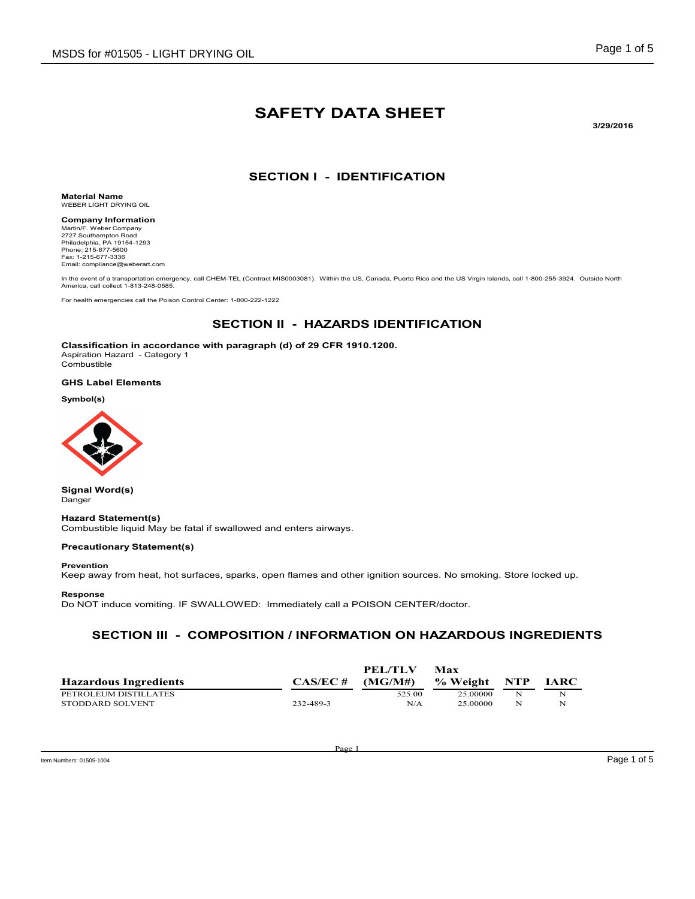# SAFETY DATA SHEET

3/29/2016

### SECTION I - IDENTIFICATION

Material Name WEBER LIGHT DRYING OIL

Company Information Martin/F. Weber Company 2727 Southampton Road Philadelphia, PA 19154-1293 Phone: 215-677-5600 Fax: 1-215-677-3336 Email: compliance@weberart.com

In the event of a transportation emergency, call CHEM-TEL (Contract MIS0003081). Within the US, Canada, Puerto Rico and the US Virgin Islands, call 1-800-255-3924. Outside North America, call collect 1-813-248-0585.

For health emergencies call the Poison Control Center: 1-800-222-1222

# SECTION II - HAZARDS IDENTIFICATION

Classification in accordance with paragraph (d) of 29 CFR 1910.1200. Aspiration Hazard - Category 1 **Combustible** 

#### GHS Label Elements

Symbol(s)



Signal Word(s) Danger

Hazard Statement(s) Combustible liquid May be fatal if swallowed and enters airways.

#### Precautionary Statement(s)

#### Prevention

Keep away from heat, hot surfaces, sparks, open flames and other ignition sources. No smoking. Store locked up.

#### Response

Do NOT induce vomiting. IF SWALLOWED: Immediately call a POISON CENTER/doctor.

### SECTION III - COMPOSITION / INFORMATION ON HAZARDOUS INGREDIENTS

|                              |             | PEL/TLV | Max      |     |             |
|------------------------------|-------------|---------|----------|-----|-------------|
| <b>Hazardous Ingredients</b> | $CAS/EC \#$ | (MG/M#) | % Weight | NTP | <b>IARC</b> |
| PETROLEUM DISTILLATES        |             | 525.00  | 25 00000 | N   |             |
| STODDARD SOLVENT             | 232-489-3   | N/A     | 25.00000 | N   | N           |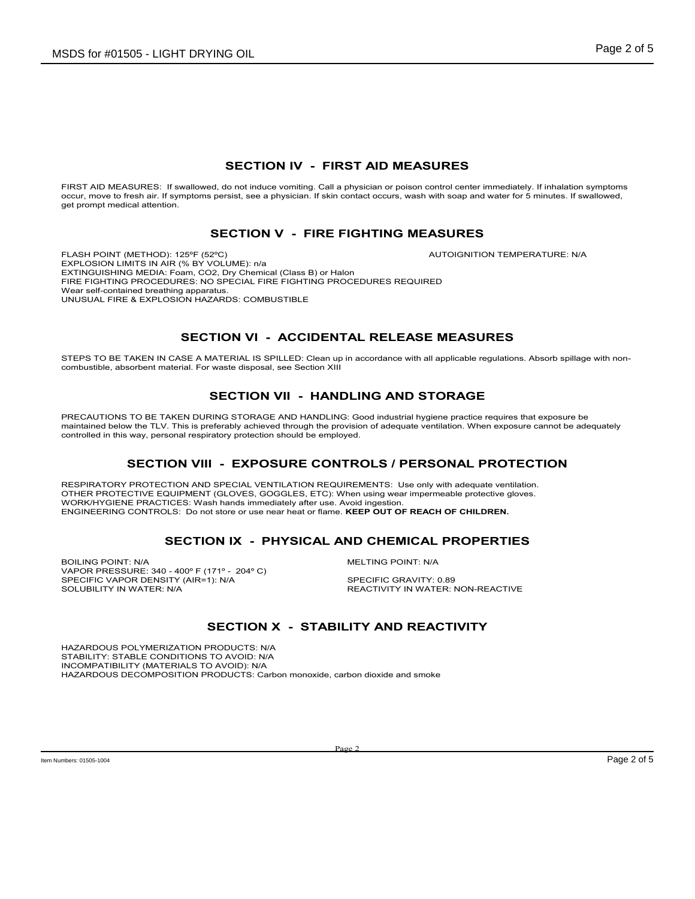## SECTION IV - FIRST AID MEASURES

FIRST AID MEASURES: If swallowed, do not induce vomiting. Call a physician or poison control center immediately. If inhalation symptoms<br>occur, move to fresh air. If symptoms persist, see a physician. If skin contact occurs get prompt medical attention.

#### SECTION V - FIRE FIGHTING MEASURES

FLASH POINT (METHOD): 125ºF (52ºC) AUTOIGNITION TEMPERATURE: N/A EXPLOSION LIMITS IN AIR (% BY VOLUME): n/a EXTINGUISHING MEDIA: Foam, CO2, Dry Chemical (Class B) or Halon FIRE FIGHTING PROCEDURES: NO SPECIAL FIRE FIGHTING PROCEDURES REQUIRED Wear self-contained breathing apparatus. UNUSUAL FIRE & EXPLOSION HAZARDS: COMBUSTIBLE

# SECTION VI - ACCIDENTAL RELEASE MEASURES

STEPS TO BE TAKEN IN CASE A MATERIAL IS SPILLED: Clean up in accordance with all applicable regulations. Absorb spillage with noncombustible, absorbent material. For waste disposal, see Section XIII

### SECTION VII - HANDLING AND STORAGE

PRECAUTIONS TO BE TAKEN DURING STORAGE AND HANDLING: Good industrial hygiene practice requires that exposure be maintained below the TLV. This is preferably achieved through the provision of adequate ventilation. When exposure cannot be adequately controlled in this way, personal respiratory protection should be employed.

### SECTION VIII - EXPOSURE CONTROLS / PERSONAL PROTECTION

RESPIRATORY PROTECTION AND SPECIAL VENTILATION REQUIREMENTS: Use only with adequate ventilation. OTHER PROTECTIVE EQUIPMENT (GLOVES, GOGGLES, ETC): When using wear impermeable protective gloves. WORK/HYGIENE PRACTICES: Wash hands immediately after use. Avoid ingestion. ENGINEERING CONTROLS: Do not store or use near heat or flame. KEEP OUT OF REACH OF CHILDREN.

# SECTION IX - PHYSICAL AND CHEMICAL PROPERTIES

BOILING POINT: N/A GENERAL BOILING POINT: N/A VAPOR PRESSURE: 340 - 400º F (171º - 204º C) SPECIFIC VAPOR DENSITY (AIR=1): N/A<br>SPECIFIC VAPOR DENSITY (AIR=1): N/A<br>SOLUBILITY IN WATER: N/A

REACTIVITY IN WATER: NON-REACTIVE

# SECTION X - STABILITY AND REACTIVITY

HAZARDOUS POLYMERIZATION PRODUCTS: N/A STABILITY: STABLE CONDITIONS TO AVOID: N/A INCOMPATIBILITY (MATERIALS TO AVOID): N/A HAZARDOUS DECOMPOSITION PRODUCTS: Carbon monoxide, carbon dioxide and smoke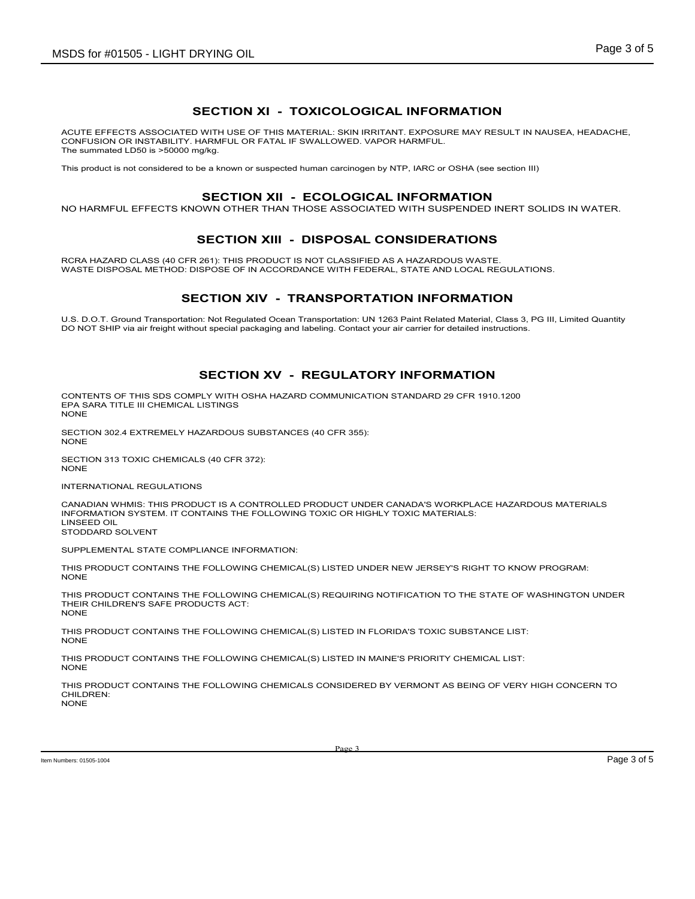## SECTION XI - TOXICOLOGICAL INFORMATION

ACUTE EFFECTS ASSOCIATED WITH USE OF THIS MATERIAL: SKIN IRRITANT. EXPOSURE MAY RESULT IN NAUSEA, HEADACHE, CONFUSION OR INSTABILITY. HARMFUL OR FATAL IF SWALLOWED. VAPOR HARMFUL. The summated LD50 is >50000 mg/kg.

This product is not considered to be a known or suspected human carcinogen by NTP, IARC or OSHA (see section III)

#### SECTION XII - ECOLOGICAL INFORMATION

NO HARMFUL EFFECTS KNOWN OTHER THAN THOSE ASSOCIATED WITH SUSPENDED INERT SOLIDS IN WATER.

### SECTION XIII - DISPOSAL CONSIDERATIONS

RCRA HAZARD CLASS (40 CFR 261): THIS PRODUCT IS NOT CLASSIFIED AS A HAZARDOUS WASTE. WASTE DISPOSAL METHOD: DISPOSE OF IN ACCORDANCE WITH FEDERAL, STATE AND LOCAL REGULATIONS.

### SECTION XIV - TRANSPORTATION INFORMATION

U.S. D.O.T. Ground Transportation: Not Regulated Ocean Transportation: UN 1263 Paint Related Material, Class 3, PG III, Limited Quantity DO NOT SHIP via air freight without special packaging and labeling. Contact your air carrier for detailed instructions.

### SECTION XV - REGULATORY INFORMATION

CONTENTS OF THIS SDS COMPLY WITH OSHA HAZARD COMMUNICATION STANDARD 29 CFR 1910.1200 EPA SARA TITLE III CHEMICAL LISTINGS NONE

SECTION 302.4 EXTREMELY HAZARDOUS SUBSTANCES (40 CFR 355): **NONE** 

SECTION 313 TOXIC CHEMICALS (40 CFR 372): NONE

INTERNATIONAL REGULATIONS

CANADIAN WHMIS: THIS PRODUCT IS A CONTROLLED PRODUCT UNDER CANADA'S WORKPLACE HAZARDOUS MATERIALS INFORMATION SYSTEM. IT CONTAINS THE FOLLOWING TOXIC OR HIGHLY TOXIC MATERIALS: LINSEED OIL

STODDARD SOLVENT

SUPPLEMENTAL STATE COMPLIANCE INFORMATION:

THIS PRODUCT CONTAINS THE FOLLOWING CHEMICAL(S) LISTED UNDER NEW JERSEY'S RIGHT TO KNOW PROGRAM: NONE

THIS PRODUCT CONTAINS THE FOLLOWING CHEMICAL(S) REQUIRING NOTIFICATION TO THE STATE OF WASHINGTON UNDER THEIR CHILDREN'S SAFE PRODUCTS ACT: NONE

THIS PRODUCT CONTAINS THE FOLLOWING CHEMICAL(S) LISTED IN FLORIDA'S TOXIC SUBSTANCE LIST: NONE

THIS PRODUCT CONTAINS THE FOLLOWING CHEMICAL(S) LISTED IN MAINE'S PRIORITY CHEMICAL LIST: NONE

THIS PRODUCT CONTAINS THE FOLLOWING CHEMICALS CONSIDERED BY VERMONT AS BEING OF VERY HIGH CONCERN TO CHILDREN: NONE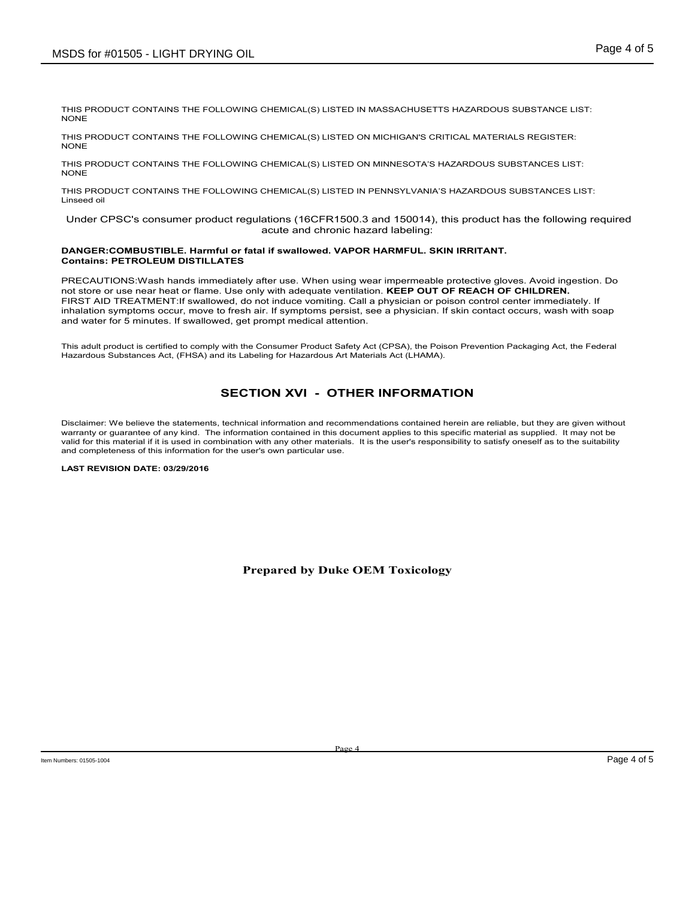THIS PRODUCT CONTAINS THE FOLLOWING CHEMICAL(S) LISTED IN MASSACHUSETTS HAZARDOUS SUBSTANCE LIST: NONE

THIS PRODUCT CONTAINS THE FOLLOWING CHEMICAL(S) LISTED ON MICHIGAN'S CRITICAL MATERIALS REGISTER: NONE

THIS PRODUCT CONTAINS THE FOLLOWING CHEMICAL(S) LISTED ON MINNESOTA'S HAZARDOUS SUBSTANCES LIST: NONE

THIS PRODUCT CONTAINS THE FOLLOWING CHEMICAL(S) LISTED IN PENNSYLVANIA'S HAZARDOUS SUBSTANCES LIST: Linseed oil

 Under CPSC's consumer product regulations (16CFR1500.3 and 150014), this product has the following required acute and chronic hazard labeling:

#### DANGER:COMBUSTIBLE. Harmful or fatal if swallowed. VAPOR HARMFUL. SKIN IRRITANT. Contains: PETROLEUM DISTILLATES

PRECAUTIONS:Wash hands immediately after use. When using wear impermeable protective gloves. Avoid ingestion. Do not store or use near heat or flame. Use only with adequate ventilation. KEEP OUT OF REACH OF CHILDREN. FIRST AID TREATMENT:If swallowed, do not induce vomiting. Call a physician or poison control center immediately. If inhalation symptoms occur, move to fresh air. If symptoms persist, see a physician. If skin contact occurs, wash with soap and water for 5 minutes. If swallowed, get prompt medical attention.

This adult product is certified to comply with the Consumer Product Safety Act (CPSA), the Poison Prevention Packaging Act, the Federal Hazardous Substances Act, (FHSA) and its Labeling for Hazardous Art Materials Act (LHAMA).

# SECTION XVI - OTHER INFORMATION

Disclaimer: We believe the statements, technical information and recommendations contained herein are reliable, but they are given without warranty or guarantee of any kind. The information contained in this document applies to this specific material as supplied. It may not be valid for this material if it is used in combination with any other materials. It is the user's responsibility to satisfy oneself as to the suitability and completeness of this information for the user's own particular use.

#### LAST REVISION DATE: 03/29/2016

Prepared by Duke OEM Toxicology